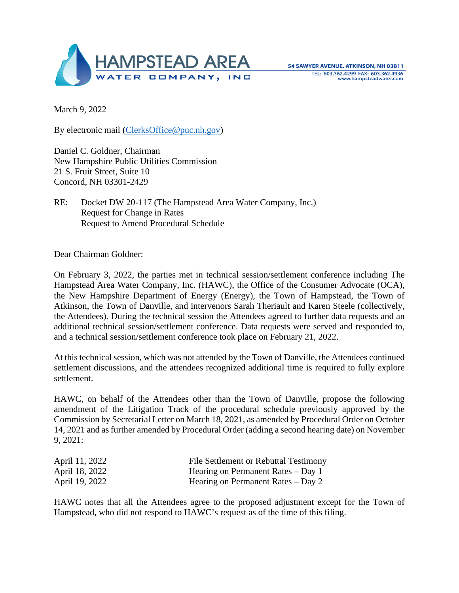

March 9, 2022

By electronic mail [\(ClerksOffice@puc.nh.gov\)](mailto:ClerksOffice@puc.nh.gov)

Daniel C. Goldner, Chairman New Hampshire Public Utilities Commission 21 S. Fruit Street, Suite 10 Concord, NH 03301-2429

RE: Docket DW 20-117 (The Hampstead Area Water Company, Inc.) Request for Change in Rates Request to Amend Procedural Schedule

Dear Chairman Goldner:

On February 3, 2022, the parties met in technical session/settlement conference including The Hampstead Area Water Company, Inc. (HAWC), the Office of the Consumer Advocate (OCA), the New Hampshire Department of Energy (Energy), the Town of Hampstead, the Town of Atkinson, the Town of Danville, and intervenors Sarah Theriault and Karen Steele (collectively, the Attendees). During the technical session the Attendees agreed to further data requests and an additional technical session/settlement conference. Data requests were served and responded to, and a technical session/settlement conference took place on February 21, 2022.

At this technical session, which was not attended by the Town of Danville, the Attendees continued settlement discussions, and the attendees recognized additional time is required to fully explore settlement.

HAWC, on behalf of the Attendees other than the Town of Danville, propose the following amendment of the Litigation Track of the procedural schedule previously approved by the Commission by Secretarial Letter on March 18, 2021, as amended by Procedural Order on October 14, 2021 and as further amended by Procedural Order (adding a second hearing date) on November 9, 2021:

| April 11, 2022 | File Settlement or Rebuttal Testimony |
|----------------|---------------------------------------|
| April 18, 2022 | Hearing on Permanent Rates $-$ Day 1  |
| April 19, 2022 | Hearing on Permanent Rates $-$ Day 2  |

HAWC notes that all the Attendees agree to the proposed adjustment except for the Town of Hampstead, who did not respond to HAWC's request as of the time of this filing.